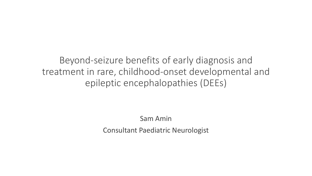Beyond-seizure benefits of early diagnosis and treatment in rare, childhood-onset developmental and epileptic encephalopathies (DEEs)

Sam Amin

Consultant Paediatric Neurologist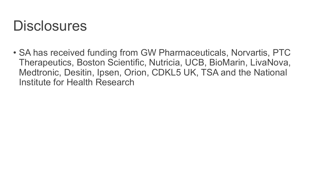#### **Disclosures**

• SA has received funding from GW Pharmaceuticals, Norvartis, PTC Therapeutics, Boston Scientific, Nutricia, UCB, BioMarin, LivaNova, Medtronic, Desitin, Ipsen, Orion, CDKL5 UK, TSA and the National Institute for Health Research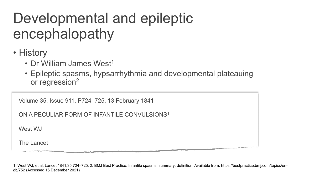## Developmental and epileptic encephalopathy

- History
	- Dr William James West<sup>1</sup>
	- Epileptic spasms, hypsarrhythmia and developmental plateauing or regression2

| Volume 35, Issue 911, P724-725, 13 February 1841 |  |  |  |  |  |
|--------------------------------------------------|--|--|--|--|--|
|--------------------------------------------------|--|--|--|--|--|

ON A PECULIAR FORM OF INFANTILE CONVULSIONS<sup>1</sup>

West W.I

The Lancet

1. West WJ, et al. Lancet 1841;35:724–725; 2. BMJ Best Practice. Infantile spasms; summary; definition. Available from: https://bestpractice.bmj.com/topics/engb/752 (Accessed 16 December 2021)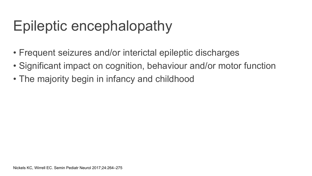# Epileptic encephalopathy

- Frequent seizures and/or interictal epileptic discharges
- Significant impact on cognition, behaviour and/or motor function
- The majority begin in infancy and childhood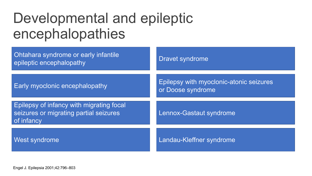#### Developmental and epileptic encephalopathies

| <b>Ohtahara syndrome or early infantile</b><br>epileptic encephalopathy                                 | Dravet syndrome                                              |
|---------------------------------------------------------------------------------------------------------|--------------------------------------------------------------|
| <b>Early myoclonic encephalopathy</b>                                                                   | Epilepsy with myoclonic-atonic seizures<br>or Doose syndrome |
| <b>Epilepsy of infancy with migrating focal</b><br>seizures or migrating partial seizures<br>of infancy | Lennox-Gastaut syndrome                                      |
| <b>West syndrome</b>                                                                                    | Landau-Kleffner syndrome                                     |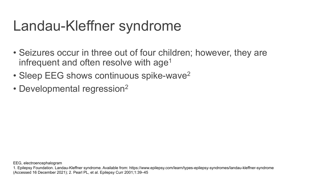## Landau-Kleffner syndrome

- Seizures occur in three out of four children; however, they are infrequent and often resolve with age<sup>1</sup>
- Sleep EEG shows continuous spike-wave<sup>2</sup>
- Developmental regression<sup>2</sup>

EEG, electroencephalogram

<sup>1.</sup> Epilepsy Foundation. Landau-Kleffner syndrome. Available from: https://www.epilepsy.com/learn/types-epilepsy-syndromes/landau-kleffner-syndrome (Accessed 16 December 2021); 2. Pearl PL, et al. Epilepsy Curr 2001;1:39–45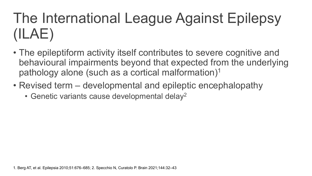# The International League Against Epilepsy (ILAE)

- The epileptiform activity itself contributes to severe cognitive and behavioural impairments beyond that expected from the underlying pathology alone (such as a cortical malformation)1
- Revised term developmental and epileptic encephalopathy
	- Genetic variants cause developmental delay2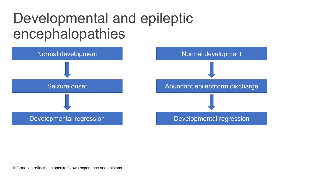#### Developmental and epileptic encephalopathies



Information reflects the speaker's own experience and opinions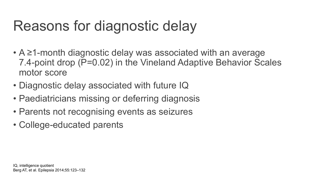## Reasons for diagnostic delay

- A ≥1-month diagnostic delay was associated with an average 7.4-point drop (P=0.02) in the Vineland Adaptive Behavior Scales motor score
- Diagnostic delay associated with future IQ
- Paediatricians missing or deferring diagnosis
- Parents not recognising events as seizures
- College-educated parents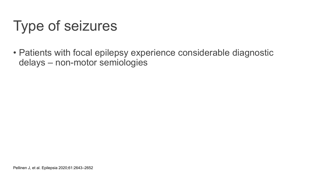# Type of seizures

• Patients with focal epilepsy experience considerable diagnostic delays – non-motor semiologies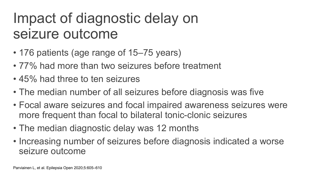## Impact of diagnostic delay on seizure outcome

- 176 patients (age range of 15–75 years)
- 77% had more than two seizures before treatment
- 45% had three to ten seizures
- The median number of all seizures before diagnosis was five
- Focal aware seizures and focal impaired awareness seizures were more frequent than focal to bilateral tonic-clonic seizures
- The median diagnostic delay was 12 months
- Increasing number of seizures before diagnosis indicated a worse seizure outcome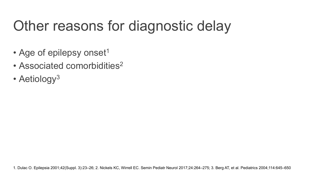# Other reasons for diagnostic delay

- Age of epilepsy onset<sup>1</sup>
- Associated comorbidities<sup>2</sup>
- Aetiology<sup>3</sup>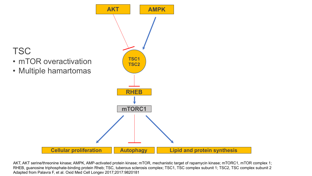

AKT, AKT serine/threonine kinase; AMPK, AMP-activated protein kinase; mTOR, mechanistic target of rapamycin kinase; mTORC1, mTOR complex 1; RHEB, guanosine triphosphate-binding protein Rheb; TSC, tuberous sclerosis complex; TSC1, TSC complex subunit 1; TSC2, TSC complex subunit 2 Adapted from Palavra F, et al. Oxid Med Cell Longev 2017;2017:9820181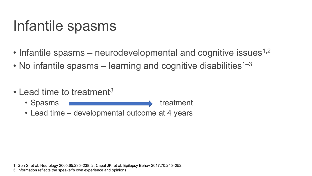## Infantile spasms

- Infantile spasms neurodevelopmental and cognitive issues<sup>1,2</sup>
- No infantile spasms learning and cognitive disabilities<sup>1–3</sup>
- Lead time to treatment<sup>3</sup>
	- Spasms treatment
	- Lead time developmental outcome at 4 years

1. Goh S, et al. Neurology 2005;65:235–238; 2. Capal JK, et al. Epilepsy Behav 2017;70:245–252; 3. Information reflects the speaker's own experience and opinions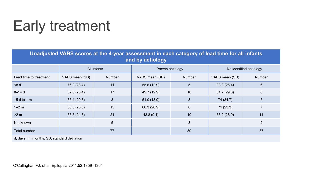# Early treatment

**Unadjusted VABS scores at the 4-year assessment in each category of lead time for all infants and by aetiology**

|                        | All infants    |                | Proven aetiology |                 | No identified aetiology |                 |
|------------------------|----------------|----------------|------------------|-----------------|-------------------------|-----------------|
| Lead time to treatment | VABS mean (SD) | Number         | VABS mean (SD)   | Number          | VABS mean (SD)          | <b>Number</b>   |
| $-8d$                  | 76.2 (28.4)    | 11             | 55.6(12.9)       | $5\phantom{.0}$ | 93.3(26.4)              | $6\phantom{1}$  |
| $8 - 14$ d             | 62.8(26.4)     | 17             | 49.7 (12.9)      | 10              | 84.7 (29.6)             | $6\overline{6}$ |
| 15 d to 1 m            | 65.4 (29.8)    | 8              | 51.0(13.9)       | 3               | 74 (34.7)               | 5 <sup>5</sup>  |
| $1-2$ m                | 65.3(25.0)     | 15             | 60.3(26.9)       | 8               | 71(23.3)                |                 |
| >2 m                   | 55.5(24.3)     | 21             | 43.8(9.4)        | 10              | 66.2 (28.9)             | 11              |
| Not known              |                | 5 <sup>5</sup> |                  | 3               |                         | 2               |
| Total number           |                | 77             |                  | 39              |                         | 37              |

d, days; m, months; SD, standard deviation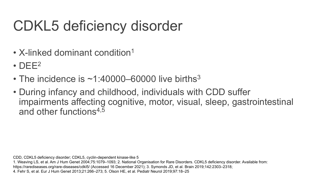# CDKL5 deficiency disorder

- X-linked dominant condition<sup>1</sup>
- $\cdot$  DEE<sup>2</sup>
- The incidence is  $\sim$ 1:40000–60000 live births<sup>3</sup>
- During infancy and childhood, individuals with CDD suffer impairments affecting cognitive, motor, visual, sleep, gastrointestinal and other functions<sup>4,5</sup>

CDD, CDKL5 deficiency disorder; CDKL5, cyclin-dependent kinase-like 5

1. Weaving LS, et al. Am J Hum Genet 2004;75:1079–1093; 2. National Organisation for Rare Disorders. CDKL5 deficiency disorder. Available from: https://rarediseases.org/rare-diseases/cdkl5/ (Accessed 16 December 2021); 3. Symonds JD, et al. Brain 2019;142:2303–2318; 4. Fehr S, et al. Eur J Hum Genet 2013;21:266–273; 5. Olson HE, et al. Pediatr Neurol 2019;97:18–25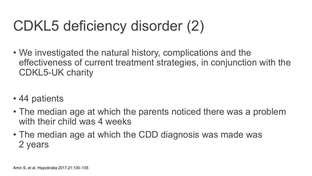# CDKL5 deficiency disorder (2)

- We investigated the natural history, complications and the effectiveness of current treatment strategies, in conjunction with the CDKL5-UK charity
- 44 patients
- The median age at which the parents noticed there was a problem with their child was 4 weeks
- The median age at which the CDD diagnosis was made was 2 years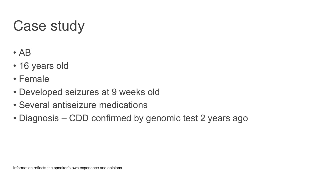# Case study

- AB
- 16 years old
- Female
- Developed seizures at 9 weeks old
- Several antiseizure medications
- Diagnosis CDD confirmed by genomic test 2 years ago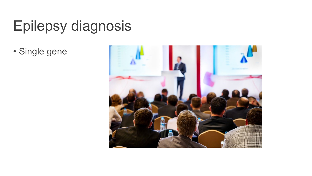# Epilepsy diagnosis

• Single gene

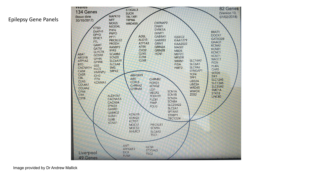



Image provided by Dr Andrew Mallick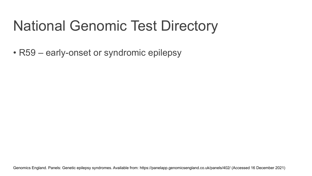# National Genomic Test Directory

• R59 – early-onset or syndromic epilepsy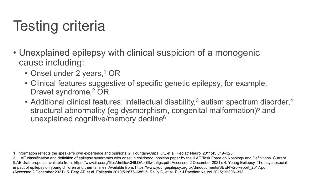# Testing criteria

- Unexplained epilepsy with clinical suspicion of a monogenic cause including:
	- Onset under 2 years,<sup>1</sup> OR
	- Clinical features suggestive of specific genetic epilepsy, for example, Dravet syndrome,<sup>2</sup> OR
	- Additional clinical features: intellectual disability,<sup>3</sup> autism spectrum disorder,<sup>4</sup> structural abnormality (eg dysmorphism, congenital malformation)<sup>5</sup> and unexplained cognitive/memory decline<sup>6</sup>

<sup>1.</sup> Information reflects the speaker's own experience and opinions; 2. Fountain-Capal JK, et al. Pediatr Neurol 2011;45:319–323;

<sup>3.</sup> ILAE classification and definition of epilepsy syndromes with onset in childhood: position paper by the ILAE Task Force on Nosology and Definitions. Current ILAE draft proposal available from: https://www.ilae.org/files/dmfile/CHILDApril6withfigs.pdf (Accessed 2 December 2021); 4. Young Epilepsy. The psychosocial impact of epilepsy on young children and their families. Available from: https://www.youngepilepsy.org.uk/dmdocuments/SEEN%20Report\_2017.pdf (Accessed 2 December 2021); 5. Berg AT, et al. Epilepsia 2010;51:676–685; 6. Reilly C, et al. Eur J Paediatr Neurol 2015;19:308–313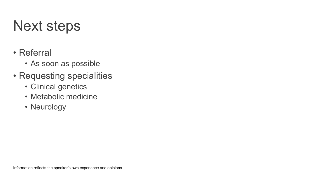## Next steps

- Referral
	- As soon as possible
- Requesting specialities
	- Clinical genetics
	- Metabolic medicine
	- Neurology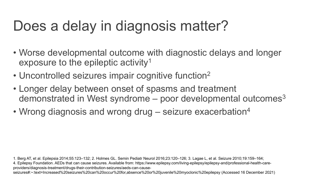# Does a delay in diagnosis matter?

- Worse developmental outcome with diagnostic delays and longer exposure to the epileptic activity<sup>1</sup>
- Uncontrolled seizures impair cognitive function<sup>2</sup>
- Longer delay between onset of spasms and treatment demonstrated in West syndrome  $-$  poor developmental outcomes<sup>3</sup>
- Wrong diagnosis and wrong drug  $-$  seizure exacerbation<sup>4</sup>

1. Berg AT, et al. Epilepsia 2014;55:123–132; 2. Holmes GL. Semin Pediatr Neurol 2016;23:120–126; 3. Lagae L, et al. Seizure 2010;19:159–164; 4. Epilepsy Foundation. AEDs that can cause seizures. Available from: https://www.epilepsy.com/living-epilepsy/epilepsy-and/professional-health-careproviders/diagnosis-treatment/drugs-their-contribution-seizures/aeds-can-causeseizures#:~:text=Increased%20seizures%20can%20occur%20for,absence%20or%20juvenile%20myoclonic%20epilepsy (Accessed 16 December 2021)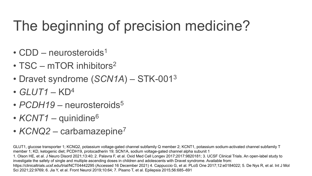# The beginning of precision medicine?

- $CDD$  neurosteroids<sup>1</sup>
- TSC mTOR inhibitors<sup>2</sup>
- Dravet syndrome (*SCN1A*) STK-0013
- *GLUT1* KD4
- *PCDH19* neurosteroids<sup>5</sup>
- *KCNT1* quinidine<sup>6</sup>
- *KCNQ2* carbamazepine7

GLUT1, glucose transporter 1; KCNQ2, potassium voltage-gated channel subfamily Q member 2; KCNT1, potassium sodium-activated channel subfamily T member 1; KD, ketogenic diet; PCDH19, protocadherin 19; SCN1A, sodium voltage-gated channel alpha subunit 1 1. Olson HE, et al. J Neuro Disord 2021;13:40; 2. Palavra F, et al. Oxid Med Cell Longev 2017;2017:9820181; 3. UCSF Clinical Trials. An open-label study to https://clinicaltrials.ucsf.edu/trial/NCT04442295 (Accessed 16 December 2021) 4. Cappuccio G, et al. PLoS One 2017;12:e0184022; 5. De Nys R, et al. Int J Mol Sci 2021;22:9769; 6. Jia Y, et al. Front Neurol 2019;10:64; 7. Pisano T, et al. Epilepsia 2015;56:685–691 investigate the safety of single and multiple ascending doses in children and adolescents with Dravet syndrome. Available from: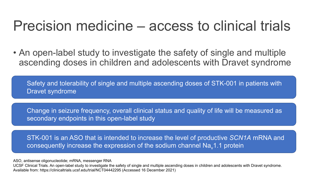#### Precision medicine – access to clinical trials

• An open-label study to investigate the safety of single and multiple ascending doses in children and adolescents with Dravet syndrome

Safety and tolerability of single and multiple ascending doses of STK-001 in patients with Dravet syndrome

Change in seizure frequency, overall clinical status and quality of life will be measured as secondary endpoints in this open-label study

STK-001 is an ASO that is intended to increase the level of productive *SCN1A* mRNA and consequently increase the expression of the sodium channel  $Na<sub>v</sub>1.1$  protein

ASO, antisense oligonucleotide; mRNA, messenger RNA

UCSF Clinical Trials. An open-label study to investigate the safety of single and multiple ascending doses in children and adolescents with Dravet syndrome. Available from: https://clinicaltrials.ucsf.edu/trial/NCT04442295 (Accessed 16 December 2021)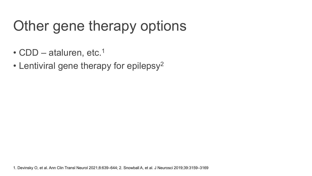# Other gene therapy options

- CDD ataluren, etc.<sup>1</sup>
- Lentiviral gene therapy for epilepsy<sup>2</sup>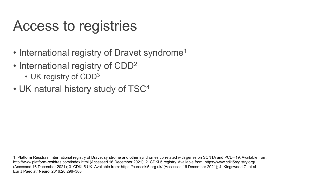#### Access to registries

- International registry of Dravet syndrome<sup>1</sup>
- International registry of CDD<sup>2</sup>
	- UK registry of CDD<sup>3</sup>
- UK natural history study of TSC<sup>4</sup>

1. Platform Residras. International registry of Dravet syndrome and other syndromes correlated with genes on SCN1A and PCDH19. Available from: http://www.platform-residras.com/index.html (Accessed 16 December 2021); 2. CDKL5 registry. Available from: https://www.cdkl5registry.org/ (Accessed 16 December 2021); 3. CDKL5 UK. Available from: https://curecdkl5.org.uk/ (Accessed 16 December 2021); 4. Kingswood C, et al. Eur J Paediatr Neurol 2016;20:296–308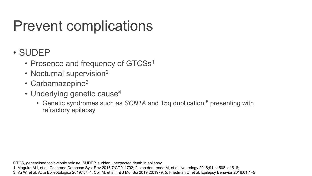# Prevent complications

#### • SUDEP

- Presence and frequency of GTCSs<sup>1</sup>
- Nocturnal supervision<sup>2</sup>
- Carbamazepine<sup>3</sup>
- Underlying genetic cause<sup>4</sup>
	- Genetic syndromes such as *SCN1A* and 15q duplication,<sup>5</sup> presenting with refractory epilepsy

GTCS, generalised tonic-clonic seizure; SUDEP, sudden unexpected death in epilepsy 1. Maguire MJ, et al. Cochrane Database Syst Rev 2016;7:CD011792; 2. van der Lende M, et al. Neurology 2018;91:e1508–e1518; 3. Yu W, et al. Acta Epileptologica 2019;1:7; 4. Coll M, et al. Int J Mol Sci 2019;20:1979; 5. Friedman D, et al. Epilepsy Behavior 2016;61:1–5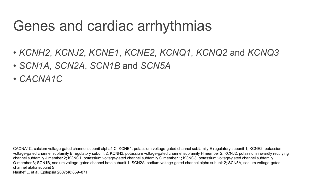## Genes and cardiac arrhythmias

- *KCNH2*, *KCNJ2*, *KCNE1*, *KCNE2*, *KCNQ1*, *KCNQ2* and *KCNQ3*
- *SCN1A*, *SCN2A*, *SCN1B* and *SCN5A*
- *CACNA1C*

CACNA1C, calcium voltage-gated channel subunit alpha1 C; KCNE1, potassium voltage-gated channel subfamily E regulatory subunit 1; KCNE2, potassium voltage-gated channel subfamily E regulatory subunit 2; KCNH2, potassium voltage-gated channel subfamily H member 2; KCNJ2, potassium inwardly rectifying channel subfamily J member 2; KCNQ1, potassium voltage-gated channel subfamily Q member 1; KCNQ3, potassium voltage-gated channel subfamily Q member 3; SCN1B, sodium voltage-gated channel beta subunit 1; SCN2A, sodium voltage-gated channel alpha subunit 2; SCN5A, sodium voltage-gated channel alpha subunit 5 Nashef L, et al. Epilepsia 2007;48:859–871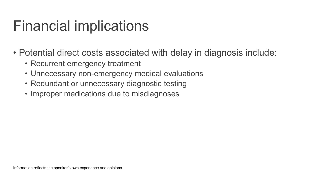## Financial implications

- Potential direct costs associated with delay in diagnosis include:
	- Recurrent emergency treatment
	- Unnecessary non-emergency medical evaluations
	- Redundant or unnecessary diagnostic testing
	- Improper medications due to misdiagnoses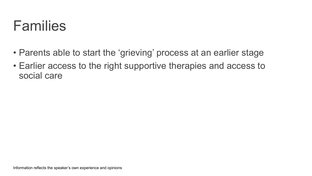

- Parents able to start the 'grieving' process at an earlier stage
- Earlier access to the right supportive therapies and access to social care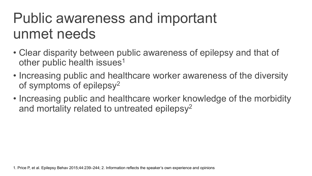## Public awareness and important unmet needs

- Clear disparity between public awareness of epilepsy and that of other public health issues<sup>1</sup>
- Increasing public and healthcare worker awareness of the diversity of symptoms of epilepsy2
- Increasing public and healthcare worker knowledge of the morbidity and mortality related to untreated epilepsy<sup>2</sup>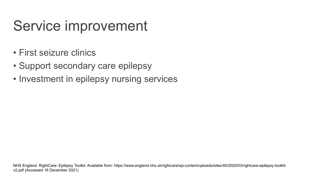## Service improvement

- First seizure clinics
- Support secondary care epilepsy
- Investment in epilepsy nursing services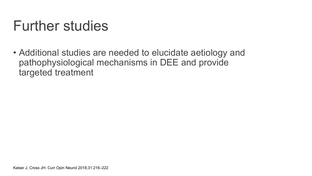#### Further studies

• Additional studies are needed to elucidate aetiology and pathophysiological mechanisms in DEE and provide targeted treatment